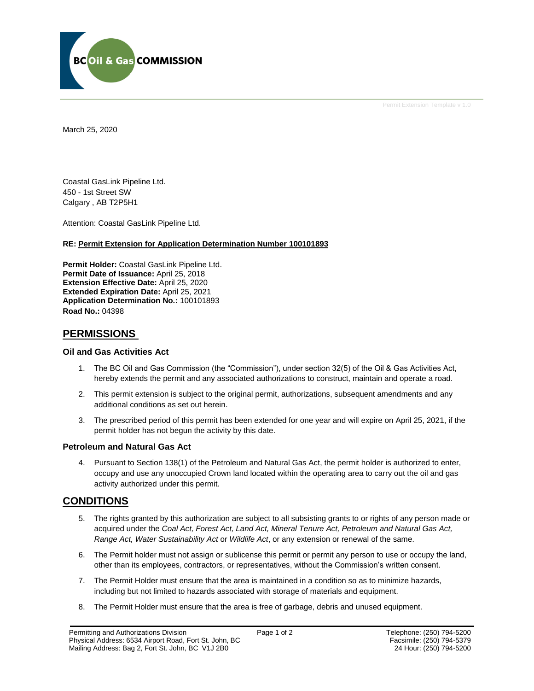

Permit Extension Template v 1.0

March 25, 2020

Coastal GasLink Pipeline Ltd. 450 - 1st Street SW Calgary , AB T2P5H1

Attention: Coastal GasLink Pipeline Ltd.

### **RE: Permit Extension for Application Determination Number 100101893**

**Permit Holder:** Coastal GasLink Pipeline Ltd. **Permit Date of Issuance:** April 25, 2018 **Extension Effective Date:** April 25, 2020 **Extended Expiration Date:** April 25, 2021 **Application Determination No.:** 100101893 **Road No.:** 04398

# **PERMISSIONS**

## **Oil and Gas Activities Act**

- 1. The BC Oil and Gas Commission (the "Commission"), under section 32(5) of the Oil & Gas Activities Act, hereby extends the permit and any associated authorizations to construct, maintain and operate a road.
- 2. This permit extension is subject to the original permit, authorizations, subsequent amendments and any additional conditions as set out herein.
- 3. The prescribed period of this permit has been extended for one year and will expire on April 25, 2021, if the permit holder has not begun the activity by this date.

## **Petroleum and Natural Gas Act**

4. Pursuant to Section 138(1) of the Petroleum and Natural Gas Act, the permit holder is authorized to enter, occupy and use any unoccupied Crown land located within the operating area to carry out the oil and gas activity authorized under this permit.

# **CONDITIONS**

- 5. The rights granted by this authorization are subject to all subsisting grants to or rights of any person made or acquired under the *Coal Act, Forest Act, Land Act, Mineral Tenure Act, Petroleum and Natural Gas Act, Range Act, Water Sustainability Act* or *Wildlife Act*, or any extension or renewal of the same.
- 6. The Permit holder must not assign or sublicense this permit or permit any person to use or occupy the land, other than its employees, contractors, or representatives, without the Commission's written consent.
- 7. The Permit Holder must ensure that the area is maintained in a condition so as to minimize hazards, including but not limited to hazards associated with storage of materials and equipment.
- 8. The Permit Holder must ensure that the area is free of garbage, debris and unused equipment.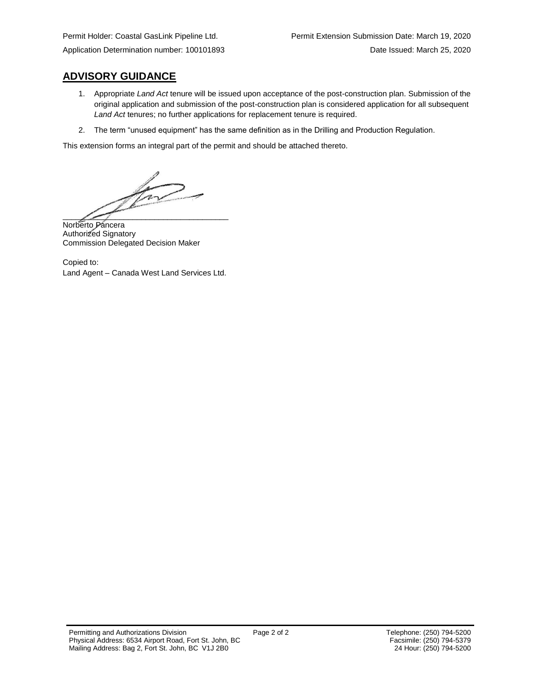# **ADVISORY GUIDANCE**

- 1. Appropriate *Land Act* tenure will be issued upon acceptance of the post-construction plan. Submission of the original application and submission of the post-construction plan is considered application for all subsequent *Land Act* tenures; no further applications for replacement tenure is required.
- 2. The term "unused equipment" has the same definition as in the Drilling and Production Regulation.

This extension forms an integral part of the permit and should be attached thereto.

 $\overline{\phantom{a}}$ 

Norberto Páncera Authorized Signatory Commission Delegated Decision Maker

Copied to: Land Agent – Canada West Land Services Ltd.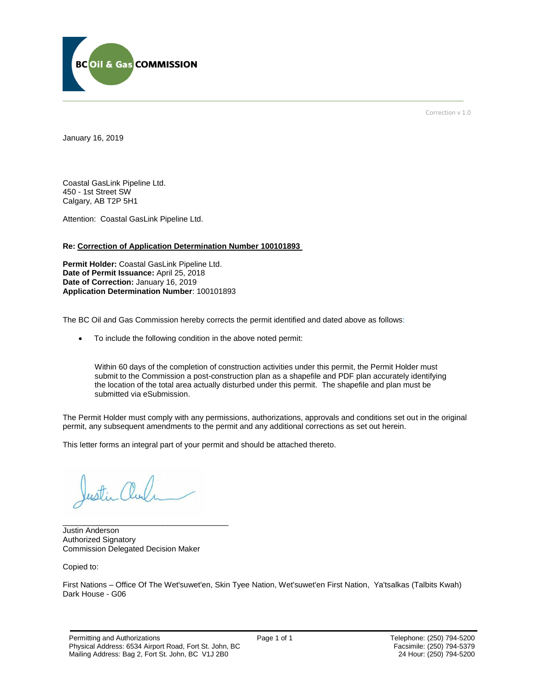

Correction v 1.0

January 16, 2019

Coastal GasLink Pipeline Ltd. 450 - 1st Street SW Calgary, AB T2P 5H1

Attention: Coastal GasLink Pipeline Ltd.

#### **Re: Correction of Application Determination Number 100101893**

**Permit Holder:** Coastal GasLink Pipeline Ltd. **Date of Permit Issuance:** April 25, 2018 **Date of Correction:** January 16, 2019 **Application Determination Number**: 100101893

The BC Oil and Gas Commission hereby corrects the permit identified and dated above as follows:

To include the following condition in the above noted permit:

Within 60 days of the completion of construction activities under this permit, the Permit Holder must submit to the Commission a post-construction plan as a shapefile and PDF plan accurately identifying the location of the total area actually disturbed under this permit. The shapefile and plan must be submitted via eSubmission.

The Permit Holder must comply with any permissions, authorizations, approvals and conditions set out in the original permit, any subsequent amendments to the permit and any additional corrections as set out herein.

This letter forms an integral part of your permit and should be attached thereto.

ustin alu

Justin Anderson Authorized Signatory Commission Delegated Decision Maker

\_\_\_\_\_\_\_\_\_\_\_\_\_\_\_\_\_\_\_\_\_\_\_\_\_\_\_\_\_\_\_\_\_\_\_\_\_\_

Copied to:

First Nations – Office Of The Wet'suwet'en, Skin Tyee Nation, Wet'suwet'en First Nation, Ya'tsalkas (Talbits Kwah) Dark House - G06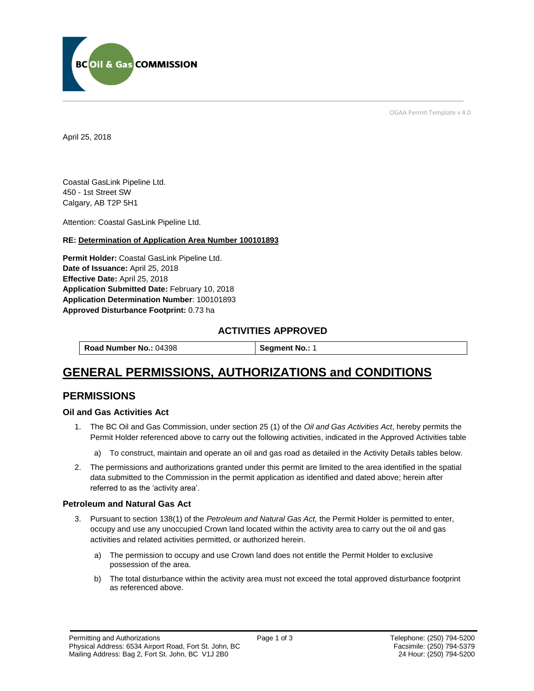

OGAA Permit Template v 4.0

April 25, 2018

Coastal GasLink Pipeline Ltd. 450 - 1st Street SW Calgary, AB T2P 5H1

[Attention:](#page-3-0) Coastal GasLink Pipeline Ltd.

## **RE: Determination of Application Area Number 100101893**

**[Permit Holder:](#page-3-0)** Coastal GasLink Pipeline Ltd. **[Date of Issuance:](#page-3-0)** April 25, 2018 **[Effective Date:](#page-3-1)** April 25, 2018 **[Application Submitted Date:](#page-3-0)** February 10, 2018 **[Application Determination Number](#page-3-0)**: 100101893 **Approved Disturbance Footprint:** 0.73 ha

# **ACTIVITIES APPROVED**

**[Road Number No.:](#page-3-0) 04398 | [Segment No.:](https://bi.bcogc.ca/Application%20Processing/Interactive%20Reports/(BIL-041)%20AMS%20Decision%20Summary.aspx) 1** 

# **GENERAL PERMISSIONS, AUTHORIZATIONS and CONDITIONS**

# **PERMISSIONS**

## **Oil and Gas Activities Act**

- <span id="page-3-0"></span>1. The BC Oil and Gas Commission, under section 25 (1) of the *Oil and Gas Activities Act*, hereby permits the Permit Holder referenced above to carry out the following activities, indicated in the Approved Activities table
	- a) To construct, maintain and operate an oil and gas road as detailed in the Activity Details tables below.
- <span id="page-3-1"></span>2. The permissions and authorizations granted under this permit are limited to the area identified in the spatial data submitted to the Commission in the permit application as identified and dated above; herein after referred to as the 'activity area'.

## **Petroleum and Natural Gas Act**

- 3. Pursuant to section 138(1) of the *Petroleum and Natural Gas Act,* the Permit Holder is permitted to enter, occupy and use any unoccupied Crown land located within the activity area to carry out the oil and gas activities and related activities permitted, or authorized herein.
	- a) The permission to occupy and use Crown land does not entitle the Permit Holder to exclusive possession of the area.
	- b) The total disturbance within the activity area must not exceed the total approved disturbance footprint as referenced above.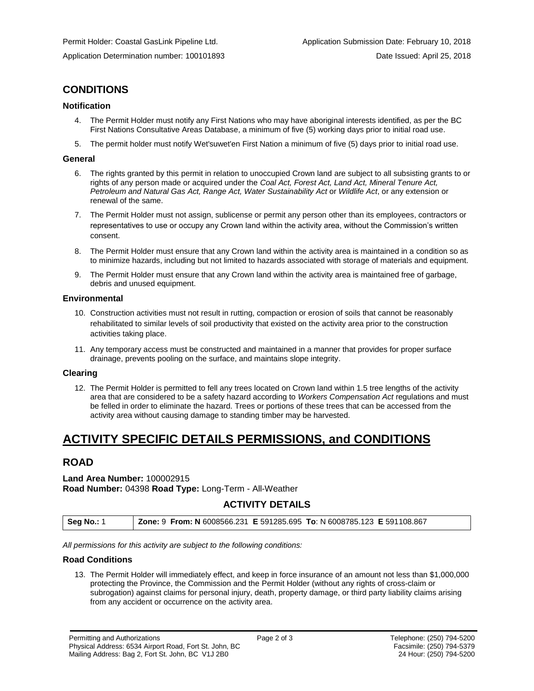# **CONDITIONS**

# **Notification**

- 4. The Permit Holder must notify any First Nations who may have aboriginal interests identified, as per the BC First Nations Consultative Areas Database, a minimum of five (5) working days prior to initial road use.
- 5. The permit holder must notify Wet'suwet'en First Nation a minimum of five (5) days prior to initial road use.

### **General**

- 6. The rights granted by this permit in relation to unoccupied Crown land are subject to all subsisting grants to or rights of any person made or acquired under the *Coal Act, Forest Act, Land Act, Mineral Tenure Act, Petroleum and Natural Gas Act, Range Act, Water Sustainability Act* or *Wildlife Act*, or any extension or renewal of the same.
- 7. The Permit Holder must not assign, sublicense or permit any person other than its employees, contractors or representatives to use or occupy any Crown land within the activity area, without the Commission's written consent.
- 8. The Permit Holder must ensure that any Crown land within the activity area is maintained in a condition so as to minimize hazards, including but not limited to hazards associated with storage of materials and equipment.
- 9. The Permit Holder must ensure that any Crown land within the activity area is maintained free of garbage, debris and unused equipment.

## **Environmental**

- 10. Construction activities must not result in rutting, compaction or erosion of soils that cannot be reasonably rehabilitated to similar levels of soil productivity that existed on the activity area prior to the construction activities taking place.
- 11. Any temporary access must be constructed and maintained in a manner that provides for proper surface drainage, prevents pooling on the surface, and maintains slope integrity.

# **Clearing**

12. The Permit Holder is permitted to fell any trees located on Crown land within 1.5 tree lengths of the activity area that are considered to be a safety hazard according to *Workers Compensation Act* regulations and must be felled in order to eliminate the hazard. Trees or portions of these trees that can be accessed from the activity area without causing damage to standing timber may be harvested.

# **ACTIVITY SPECIFIC DETAILS PERMISSIONS, and CONDITIONS**

# **ROAD**

# **Land Area Number:** 100002915 **Road Number:** 04398 **Road Type:** Long-Term - All-Weather

# **ACTIVITY DETAILS**

| Seg No.: 1 | Zone: 9 From: N 6008566.231 E 591285.695 To: N 6008785.123 E 591108.867 |  |
|------------|-------------------------------------------------------------------------|--|
|            |                                                                         |  |

*All permissions for this activity are subject to the following conditions:*

## **Road Conditions**

13. The Permit Holder will immediately effect, and keep in force insurance of an amount not less than \$1,000,000 protecting the Province, the Commission and the Permit Holder (without any rights of cross-claim or subrogation) against claims for personal injury, death, property damage, or third party liability claims arising from any accident or occurrence on the activity area.